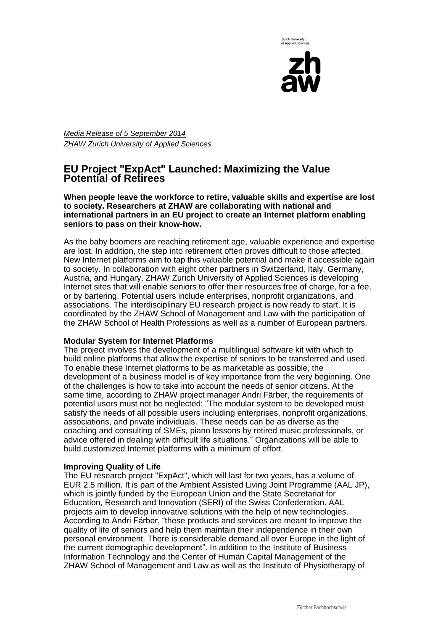



*Media Release of 5 September 2014 ZHAW Zurich University of Applied Sciences* 

# **EU Project "ExpAct" Launched: Maximizing the Value Potential of Retirees**

**When people leave the workforce to retire, valuable skills and expertise are lost to society. Researchers at ZHAW are collaborating with national and international partners in an EU project to create an Internet platform enabling seniors to pass on their know-how.** 

As the baby boomers are reaching retirement age, valuable experience and expertise are lost. In addition, the step into retirement often proves difficult to those affected. New Internet platforms aim to tap this valuable potential and make it accessible again to society. In collaboration with eight other partners in Switzerland, Italy, Germany, Austria, and Hungary, ZHAW Zurich University of Applied Sciences is developing Internet sites that will enable seniors to offer their resources free of charge, for a fee, or by bartering. Potential users include enterprises, nonprofit organizations, and associations. The interdisciplinary EU research project is now ready to start. It is coordinated by the ZHAW School of Management and Law with the participation of the ZHAW School of Health Professions as well as a number of European partners.

## **Modular System for Internet Platforms**

The project involves the development of a multilingual software kit with which to build online platforms that allow the expertise of seniors to be transferred and used. To enable these Internet platforms to be as marketable as possible, the development of a business model is of key importance from the very beginning. One of the challenges is how to take into account the needs of senior citizens. At the same time, according to ZHAW project manager Andri Färber, the requirements of potential users must not be neglected: "The modular system to be developed must satisfy the needs of all possible users including enterprises, nonprofit organizations, associations, and private individuals. These needs can be as diverse as the coaching and consulting of SMEs, piano lessons by retired music professionals, or advice offered in dealing with difficult life situations." Organizations will be able to build customized Internet platforms with a minimum of effort.

## **Improving Quality of Life**

The EU research project "ExpAct", which will last for two years, has a volume of EUR 2.5 million. It is part of the Ambient Assisted Living Joint Programme (AAL JP), which is jointly funded by the European Union and the State Secretariat for Education, Research and Innovation (SERI) of the Swiss Confederation. AAL projects aim to develop innovative solutions with the help of new technologies. According to Andri Färber, "these products and services are meant to improve the quality of life of seniors and help them maintain their independence in their own personal environment. There is considerable demand all over Europe in the light of the current demographic development". In addition to the Institute of Business Information Technology and the Center of Human Capital Management of the ZHAW School of Management and Law as well as the Institute of Physiotherapy of